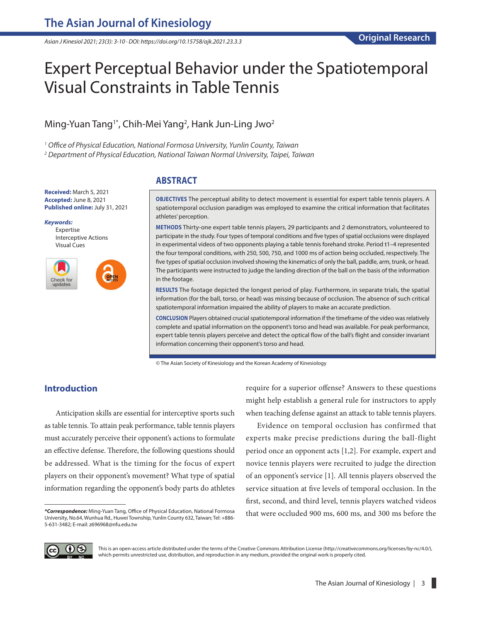*Asian J Kinesiol 2021; 23(3): 3-10 · DOI: https://doi.org/10.15758/ajk.2021.23.3.3*

# Expert Perceptual Behavior under the Spatiotemporal Visual Constraints in Table Tennis

## Ming-Yuan Tang<sup>1\*</sup>, Chih-Mei Yang<sup>2</sup>, Hank Jun-Ling Jwo<sup>2</sup>

*1 Office of Physical Education, National Formosa University, Yunlin County, Taiwan*

*2 Department of Physical Education, National Taiwan Normal University, Taipei, Taiwan*

**Received:** March 5, 2021 **Accepted:** June 8, 2021 **Published online:** July 31, 2021

*Keywords:* Expertise Interceptive Actions Visual Cues



## **ABSTRACT**

**OBJECTIVES** The perceptual ability to detect movement is essential for expert table tennis players. A spatiotemporal occlusion paradigm was employed to examine the critical information that facilitates athletes' perception.

**METHODS** Thirty-one expert table tennis players, 29 participants and 2 demonstrators, volunteered to participate in the study. Four types of temporal conditions and five types of spatial occlusions were displayed in experimental videos of two opponents playing a table tennis forehand stroke. Period t1–4 represented the four temporal conditions, with 250, 500, 750, and 1000 ms of action being occluded, respectively. The five types of spatial occlusion involved showing the kinematics of only the ball, paddle, arm, trunk, or head. The participants were instructed to judge the landing direction of the ball on the basis of the information in the footage.

**RESULTS** The footage depicted the longest period of play. Furthermore, in separate trials, the spatial information (for the ball, torso, or head) was missing because of occlusion. The absence of such critical spatiotemporal information impaired the ability of players to make an accurate prediction.

**CONCLUSION** Players obtained crucial spatiotemporal information if the timeframe of the video was relatively complete and spatial information on the opponent's torso and head was available. For peak performance, expert table tennis players perceive and detect the optical flow of the ball's flight and consider invariant information concerning their opponent's torso and head.

© The Asian Society of Kinesiology and the Korean Academy of Kinesiology

## **Introduction**

Anticipation skills are essential for interceptive sports such as table tennis. To attain peak performance, table tennis players must accurately perceive their opponent's actions to formulate an effective defense. Therefore, the following questions should be addressed. What is the timing for the focus of expert players on their opponent's movement? What type of spatial information regarding the opponent's body parts do athletes require for a superior offense? Answers to these questions might help establish a general rule for instructors to apply when teaching defense against an attack to table tennis players.

Evidence on temporal occlusion has confirmed that experts make precise predictions during the ball-flight period once an opponent acts [1,2]. For example, expert and novice tennis players were recruited to judge the direction of an opponent's service [1]. All tennis players observed the service situation at five levels of temporal occlusion. In the first, second, and third level, tennis players watched videos that were occluded 900 ms, 600 ms, and 300 ms before the



This is an open-access article distributed under the terms of the Creative Commons Attribution License (http://creativecommons.org/licenses/by-nc/4.0/), which permits unrestricted use, distribution, and reproduction in any medium, provided the original work is properly cited.

*<sup>\*</sup>Correspondence:* Ming-Yuan Tang, Office of Physical Education, National Formosa University, No.64, Wunhua Rd., Huwei Township, Yunlin County 632, Taiwan; Tel: +886- 5-631-3482; E-mail: [z696968@nfu.edu.tw](mailto:z696968@nfu.edu.tw)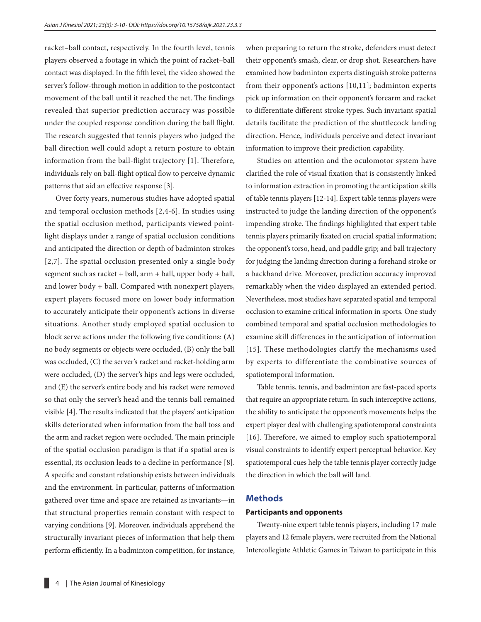racket–ball contact, respectively. In the fourth level, tennis players observed a footage in which the point of racket–ball contact was displayed. In the fifth level, the video showed the server's follow-through motion in addition to the postcontact movement of the ball until it reached the net. The findings revealed that superior prediction accuracy was possible under the coupled response condition during the ball flight. The research suggested that tennis players who judged the ball direction well could adopt a return posture to obtain information from the ball-flight trajectory [1]. Therefore, individuals rely on ball-flight optical flow to perceive dynamic patterns that aid an effective response [3].

Over forty years, numerous studies have adopted spatial and temporal occlusion methods [2,4-6]. In studies using the spatial occlusion method, participants viewed pointlight displays under a range of spatial occlusion conditions and anticipated the direction or depth of badminton strokes [2,7]. The spatial occlusion presented only a single body segment such as racket + ball, arm + ball, upper body + ball, and lower body + ball. Compared with nonexpert players, expert players focused more on lower body information to accurately anticipate their opponent's actions in diverse situations. Another study employed spatial occlusion to block serve actions under the following five conditions: (A) no body segments or objects were occluded, (B) only the ball was occluded, (C) the server's racket and racket-holding arm were occluded, (D) the server's hips and legs were occluded, and (E) the server's entire body and his racket were removed so that only the server's head and the tennis ball remained visible [4]. The results indicated that the players' anticipation skills deteriorated when information from the ball toss and the arm and racket region were occluded. The main principle of the spatial occlusion paradigm is that if a spatial area is essential, its occlusion leads to a decline in performance [8]. A specific and constant relationship exists between individuals and the environment. In particular, patterns of information gathered over time and space are retained as invariants—in that structural properties remain constant with respect to varying conditions [9]. Moreover, individuals apprehend the structurally invariant pieces of information that help them perform efficiently. In a badminton competition, for instance,

when preparing to return the stroke, defenders must detect their opponent's smash, clear, or drop shot. Researchers have examined how badminton experts distinguish stroke patterns from their opponent's actions [10,11]; badminton experts pick up information on their opponent's forearm and racket to differentiate different stroke types. Such invariant spatial details facilitate the prediction of the shuttlecock landing direction. Hence, individuals perceive and detect invariant information to improve their prediction capability.

Studies on attention and the oculomotor system have clarified the role of visual fixation that is consistently linked to information extraction in promoting the anticipation skills of table tennis players [12-14]. Expert table tennis players were instructed to judge the landing direction of the opponent's impending stroke. The findings highlighted that expert table tennis players primarily fixated on crucial spatial information; the opponent's torso, head, and paddle grip; and ball trajectory for judging the landing direction during a forehand stroke or a backhand drive. Moreover, prediction accuracy improved remarkably when the video displayed an extended period. Nevertheless, most studies have separated spatial and temporal occlusion to examine critical information in sports. One study combined temporal and spatial occlusion methodologies to examine skill differences in the anticipation of information [15]. These methodologies clarify the mechanisms used by experts to differentiate the combinative sources of spatiotemporal information.

Table tennis, tennis, and badminton are fast-paced sports that require an appropriate return. In such interceptive actions, the ability to anticipate the opponent's movements helps the expert player deal with challenging spatiotemporal constraints [16]. Therefore, we aimed to employ such spatiotemporal visual constraints to identify expert perceptual behavior. Key spatiotemporal cues help the table tennis player correctly judge the direction in which the ball will land.

### **Methods**

#### **Participants and opponents**

Twenty-nine expert table tennis players, including 17 male players and 12 female players, were recruited from the National Intercollegiate Athletic Games in Taiwan to participate in this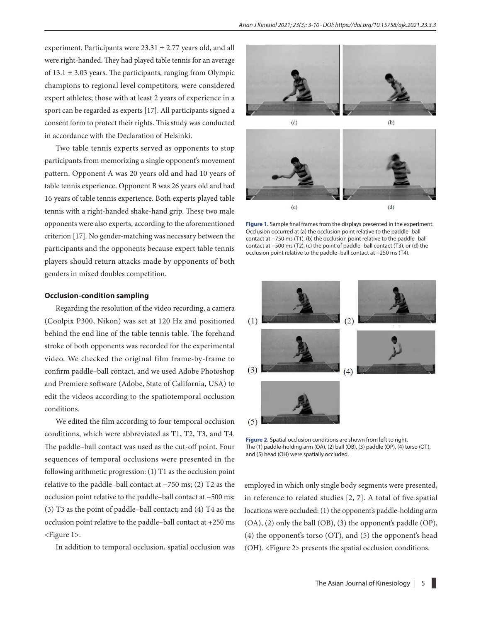experiment. Participants were  $23.31 \pm 2.77$  years old, and all were right-handed. They had played table tennis for an average of  $13.1 \pm 3.03$  years. The participants, ranging from Olympic champions to regional level competitors, were considered expert athletes; those with at least 2 years of experience in a sport can be regarded as experts [17]. All participants signed a consent form to protect their rights. This study was conducted in accordance with the Declaration of Helsinki.

Two table tennis experts served as opponents to stop participants from memorizing a single opponent's movement pattern. Opponent A was 20 years old and had 10 years of table tennis experience. Opponent B was 26 years old and had 16 years of table tennis experience. Both experts played table tennis with a right-handed shake-hand grip. These two male opponents were also experts, according to the aforementioned criterion [17]. No gender-matching was necessary between the participants and the opponents because expert table tennis players should return attacks made by opponents of both genders in mixed doubles competition.

#### **Occlusion-condition sampling**

Regarding the resolution of the video recording, a camera (Coolpix P300, Nikon) was set at 120 Hz and positioned behind the end line of the table tennis table. The forehand stroke of both opponents was recorded for the experimental video. We checked the original film frame-by-frame to confirm paddle–ball contact, and we used Adobe Photoshop and Premiere software (Adobe, State of California, USA) to edit the videos according to the spatiotemporal occlusion conditions.

We edited the film according to four temporal occlusion conditions, which were abbreviated as T1, T2, T3, and T4. The paddle–ball contact was used as the cut-off point. Four sequences of temporal occlusions were presented in the following arithmetic progression: (1) T1 as the occlusion point relative to the paddle–ball contact at −750 ms; (2) T2 as the occlusion point relative to the paddle–ball contact at −500 ms; (3) T3 as the point of paddle–ball contact; and (4) T4 as the occlusion point relative to the paddle–ball contact at +250 ms <Figure 1>.

In addition to temporal occlusion, spatial occlusion was





**Figure 1.** Sample final frames from the displays presented in the experiment. Occlusion occurred at (a) the occlusion point relative to the paddle–ball contact at −750 ms (T1), (b) the occlusion point relative to the paddle–ball contact at −500 ms (T2), (c) the point of paddle–ball contact (T3), or (d) the occlusion point relative to the paddle–ball contact at +250 ms (T4).



**Figure 2.** Spatial occlusion conditions are shown from left to right. The (1) paddle-holding arm (OA), (2) ball (OB), (3) paddle (OP), (4) torso (OT), and (5) head (OH) were spatially occluded.

employed in which only single body segments were presented, in reference to related studies [2, 7]. A total of five spatial locations were occluded: (1) the opponent's paddle-holding arm (OA), (2) only the ball (OB), (3) the opponent's paddle (OP), (4) the opponent's torso (OT), and (5) the opponent's head (OH). <Figure 2> presents the spatial occlusion conditions.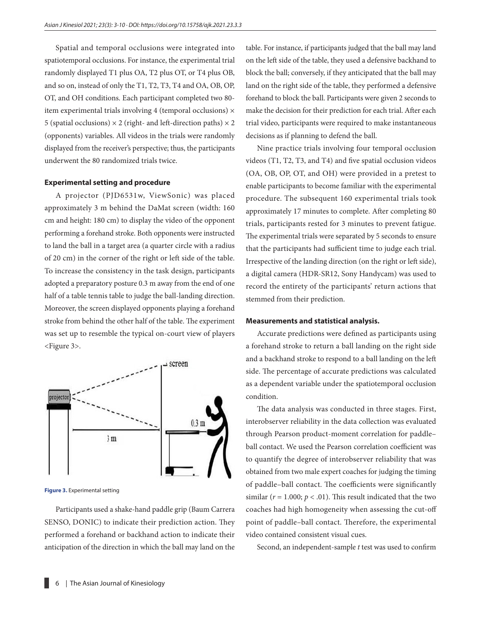Spatial and temporal occlusions were integrated into spatiotemporal occlusions. For instance, the experimental trial randomly displayed T1 plus OA, T2 plus OT, or T4 plus OB, and so on, instead of only the T1, T2, T3, T4 and OA, OB, OP, OT, and OH conditions. Each participant completed two 80 item experimental trials involving 4 (temporal occlusions)  $\times$ 5 (spatial occlusions)  $\times$  2 (right- and left-direction paths)  $\times$  2 (opponents) variables. All videos in the trials were randomly displayed from the receiver's perspective; thus, the participants underwent the 80 randomized trials twice.

#### **Experimental setting and procedure**

A projector (PJD6531w, ViewSonic) was placed approximately 3 m behind the DaMat screen (width: 160 cm and height: 180 cm) to display the video of the opponent performing a forehand stroke. Both opponents were instructed to land the ball in a target area (a quarter circle with a radius of 20 cm) in the corner of the right or left side of the table. To increase the consistency in the task design, participants adopted a preparatory posture 0.3 m away from the end of one half of a table tennis table to judge the ball-landing direction. Moreover, the screen displayed opponents playing a forehand stroke from behind the other half of the table. The experiment was set up to resemble the typical on-court view of players <Figure 3>.



**Figure 3.** Experimental setting

Participants used a shake-hand paddle grip (Baum Carrera SENSO, DONIC) to indicate their prediction action. They performed a forehand or backhand action to indicate their anticipation of the direction in which the ball may land on the table. For instance, if participants judged that the ball may land on the left side of the table, they used a defensive backhand to block the ball; conversely, if they anticipated that the ball may land on the right side of the table, they performed a defensive forehand to block the ball. Participants were given 2 seconds to make the decision for their prediction for each trial. After each trial video, participants were required to make instantaneous decisions as if planning to defend the ball.

Nine practice trials involving four temporal occlusion videos (T1, T2, T3, and T4) and five spatial occlusion videos (OA, OB, OP, OT, and OH) were provided in a pretest to enable participants to become familiar with the experimental procedure. The subsequent 160 experimental trials took approximately 17 minutes to complete. After completing 80 trials, participants rested for 3 minutes to prevent fatigue. The experimental trials were separated by 5 seconds to ensure that the participants had sufficient time to judge each trial. Irrespective of the landing direction (on the right or left side), a digital camera (HDR-SR12, Sony Handycam) was used to record the entirety of the participants' return actions that stemmed from their prediction.

#### **Measurements and statistical analysis.**

Accurate predictions were defined as participants using a forehand stroke to return a ball landing on the right side and a backhand stroke to respond to a ball landing on the left side. The percentage of accurate predictions was calculated as a dependent variable under the spatiotemporal occlusion condition.

The data analysis was conducted in three stages. First, interobserver reliability in the data collection was evaluated through Pearson product-moment correlation for paddle– ball contact. We used the Pearson correlation coefficient was to quantify the degree of interobserver reliability that was obtained from two male expert coaches for judging the timing of paddle–ball contact. The coefficients were significantly similar ( $r = 1.000$ ;  $p < .01$ ). This result indicated that the two coaches had high homogeneity when assessing the cut-off point of paddle–ball contact. Therefore, the experimental video contained consistent visual cues.

Second, an independent-sample *t* test was used to confirm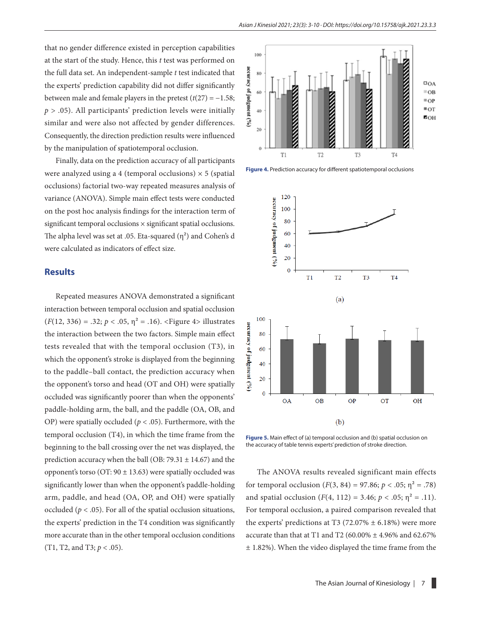that no gender difference existed in perception capabilities at the start of the study. Hence, this *t* test was performed on the full data set. An independent-sample *t* test indicated that the experts' prediction capability did not differ significantly between male and female players in the pretest  $(t(27) = -1.58$ ; *p* > .05). All participants' prediction levels were initially similar and were also not affected by gender differences. Consequently, the direction prediction results were influenced by the manipulation of spatiotemporal occlusion.

Finally, data on the prediction accuracy of all participants were analyzed using a 4 (temporal occlusions)  $\times$  5 (spatial occlusions) factorial two-way repeated measures analysis of variance (ANOVA). Simple main effect tests were conducted on the post hoc analysis findings for the interaction term of significant temporal occlusions × significant spatial occlusions. The alpha level was set at .05. Eta-squared  $(\eta^2)$  and Cohen's d were calculated as indicators of effect size.

#### **Results**

Repeated measures ANOVA demonstrated a significant interaction between temporal occlusion and spatial occlusion  $(F(12, 336) = .32; p < .05, \eta^2 = .16)$ . <Figure 4> illustrates the interaction between the two factors. Simple main effect tests revealed that with the temporal occlusion (T3), in which the opponent's stroke is displayed from the beginning to the paddle–ball contact, the prediction accuracy when the opponent's torso and head (OT and OH) were spatially occluded was significantly poorer than when the opponents' paddle-holding arm, the ball, and the paddle (OA, OB, and OP) were spatially occluded ( $p < .05$ ). Furthermore, with the temporal occlusion (T4), in which the time frame from the beginning to the ball crossing over the net was displayed, the prediction accuracy when the ball (OB:  $79.31 \pm 14.67$ ) and the opponent's torso (OT:  $90 \pm 13.63$ ) were spatially occluded was significantly lower than when the opponent's paddle-holding arm, paddle, and head (OA, OP, and OH) were spatially occluded ( $p < .05$ ). For all of the spatial occlusion situations, the experts' prediction in the T4 condition was significantly more accurate than in the other temporal occlusion conditions (T1, T2, and T3; *p* < .05).



**Figure 4.** Prediction accuracy for different spatiotemporal occlusions



**Figure 5.** Main effect of (a) temporal occlusion and (b) spatial occlusion on the accuracy of table tennis experts' prediction of stroke direction.

The ANOVA results revealed significant main effects for temporal occlusion  $(F(3, 84) = 97.86; p < .05; n^2 = .78)$ and spatial occlusion  $(F(4, 112) = 3.46; p < .05; \eta^2 = .11)$ . For temporal occlusion, a paired comparison revealed that the experts' predictions at T3 (72.07%  $\pm$  6.18%) were more accurate than that at T1 and T2 (60.00%  $\pm$  4.96% and 62.67% ± 1.82%). When the video displayed the time frame from the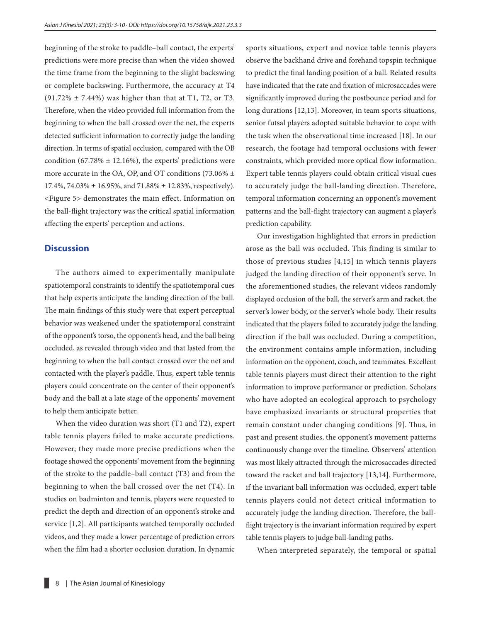beginning of the stroke to paddle–ball contact, the experts' predictions were more precise than when the video showed the time frame from the beginning to the slight backswing or complete backswing. Furthermore, the accuracy at T4  $(91.72\% \pm 7.44\%)$  was higher than that at T1, T2, or T3. Therefore, when the video provided full information from the beginning to when the ball crossed over the net, the experts detected sufficient information to correctly judge the landing direction. In terms of spatial occlusion, compared with the OB condition (67.78%  $\pm$  12.16%), the experts' predictions were more accurate in the OA, OP, and OT conditions (73.06%  $\pm$ 17.4%, 74.03% ± 16.95%, and 71.88% ± 12.83%, respectively). <Figure 5> demonstrates the main effect. Information on the ball-flight trajectory was the critical spatial information affecting the experts' perception and actions.

#### **Discussion**

The authors aimed to experimentally manipulate spatiotemporal constraints to identify the spatiotemporal cues that help experts anticipate the landing direction of the ball. The main findings of this study were that expert perceptual behavior was weakened under the spatiotemporal constraint of the opponent's torso, the opponent's head, and the ball being occluded, as revealed through video and that lasted from the beginning to when the ball contact crossed over the net and contacted with the player's paddle. Thus, expert table tennis players could concentrate on the center of their opponent's body and the ball at a late stage of the opponents' movement to help them anticipate better.

When the video duration was short (T1 and T2), expert table tennis players failed to make accurate predictions. However, they made more precise predictions when the footage showed the opponents' movement from the beginning of the stroke to the paddle–ball contact (T3) and from the beginning to when the ball crossed over the net (T4). In studies on badminton and tennis, players were requested to predict the depth and direction of an opponent's stroke and service [1,2]. All participants watched temporally occluded videos, and they made a lower percentage of prediction errors when the film had a shorter occlusion duration. In dynamic sports situations, expert and novice table tennis players observe the backhand drive and forehand topspin technique to predict the final landing position of a ball. Related results have indicated that the rate and fixation of microsaccades were significantly improved during the postbounce period and for long durations [12,13]. Moreover, in team sports situations, senior futsal players adopted suitable behavior to cope with the task when the observational time increased [18]. In our research, the footage had temporal occlusions with fewer constraints, which provided more optical flow information. Expert table tennis players could obtain critical visual cues to accurately judge the ball-landing direction. Therefore, temporal information concerning an opponent's movement patterns and the ball-flight trajectory can augment a player's prediction capability.

Our investigation highlighted that errors in prediction arose as the ball was occluded. This finding is similar to those of previous studies [4,15] in which tennis players judged the landing direction of their opponent's serve. In the aforementioned studies, the relevant videos randomly displayed occlusion of the ball, the server's arm and racket, the server's lower body, or the server's whole body. Their results indicated that the players failed to accurately judge the landing direction if the ball was occluded. During a competition, the environment contains ample information, including information on the opponent, coach, and teammates. Excellent table tennis players must direct their attention to the right information to improve performance or prediction. Scholars who have adopted an ecological approach to psychology have emphasized invariants or structural properties that remain constant under changing conditions [9]. Thus, in past and present studies, the opponent's movement patterns continuously change over the timeline. Observers' attention was most likely attracted through the microsaccades directed toward the racket and ball trajectory [13,14]. Furthermore, if the invariant ball information was occluded, expert table tennis players could not detect critical information to accurately judge the landing direction. Therefore, the ballflight trajectory is the invariant information required by expert table tennis players to judge ball-landing paths.

When interpreted separately, the temporal or spatial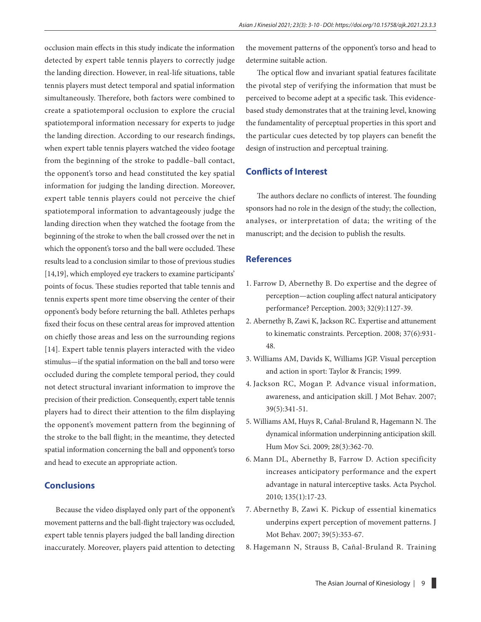occlusion main effects in this study indicate the information detected by expert table tennis players to correctly judge the landing direction. However, in real-life situations, table tennis players must detect temporal and spatial information simultaneously. Therefore, both factors were combined to create a spatiotemporal occlusion to explore the crucial spatiotemporal information necessary for experts to judge the landing direction. According to our research findings, when expert table tennis players watched the video footage from the beginning of the stroke to paddle–ball contact, the opponent's torso and head constituted the key spatial information for judging the landing direction. Moreover, expert table tennis players could not perceive the chief spatiotemporal information to advantageously judge the landing direction when they watched the footage from the beginning of the stroke to when the ball crossed over the net in which the opponent's torso and the ball were occluded. These results lead to a conclusion similar to those of previous studies [14,19], which employed eye trackers to examine participants' points of focus. These studies reported that table tennis and tennis experts spent more time observing the center of their opponent's body before returning the ball. Athletes perhaps fixed their focus on these central areas for improved attention on chiefly those areas and less on the surrounding regions [14]. Expert table tennis players interacted with the video stimulus—if the spatial information on the ball and torso were occluded during the complete temporal period, they could not detect structural invariant information to improve the precision of their prediction. Consequently, expert table tennis players had to direct their attention to the film displaying the opponent's movement pattern from the beginning of the stroke to the ball flight; in the meantime, they detected spatial information concerning the ball and opponent's torso and head to execute an appropriate action.

## **Conclusions**

Because the video displayed only part of the opponent's movement patterns and the ball-flight trajectory was occluded, expert table tennis players judged the ball landing direction inaccurately. Moreover, players paid attention to detecting the movement patterns of the opponent's torso and head to determine suitable action.

The optical flow and invariant spatial features facilitate the pivotal step of verifying the information that must be perceived to become adept at a specific task. This evidencebased study demonstrates that at the training level, knowing the fundamentality of perceptual properties in this sport and the particular cues detected by top players can benefit the design of instruction and perceptual training.

#### **Conflicts of Interest**

The authors declare no conflicts of interest. The founding sponsors had no role in the design of the study; the collection, analyses, or interpretation of data; the writing of the manuscript; and the decision to publish the results.

#### **References**

- 1. Farrow D, Abernethy B. Do expertise and the degree of perception—action coupling affect natural anticipatory performance? Perception. 2003; 32(9):1127-39.
- 2. Abernethy B, Zawi K, Jackson RC. Expertise and attunement to kinematic constraints. Perception. 2008; 37(6):931- 48.
- 3. Williams AM, Davids K, Williams JGP. Visual perception and action in sport: Taylor & Francis; 1999.
- 4. Jackson RC, Mogan P. Advance visual information, awareness, and anticipation skill. J Mot Behav. 2007; 39(5):341-51.
- 5. Williams AM, Huys R, Cañal-Bruland R, Hagemann N. The dynamical information underpinning anticipation skill. Hum Mov Sci. 2009; 28(3):362-70.
- 6. Mann DL, Abernethy B, Farrow D. Action specificity increases anticipatory performance and the expert advantage in natural interceptive tasks. Acta Psychol. 2010; 135(1):17-23.
- 7. Abernethy B, Zawi K. Pickup of essential kinematics underpins expert perception of movement patterns. J Mot Behav. 2007; 39(5):353-67.
- 8. Hagemann N, Strauss B, Cañal-Bruland R. Training